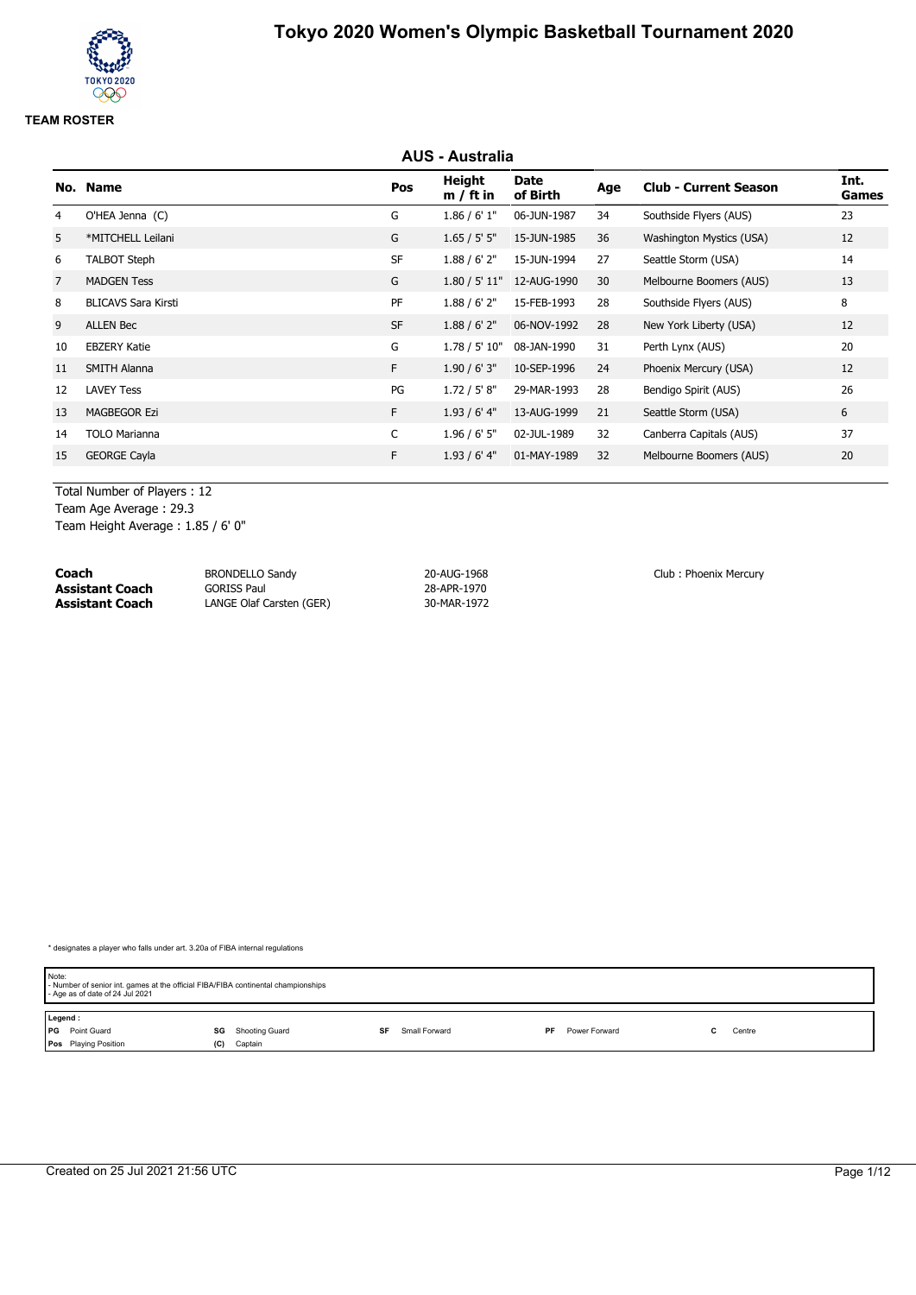# **AUS - Australia No. Name Pos Height m / ft in Date of Birth Age Club - Current Season Int. Games** 4 O'HEA Jenna (C) 6 C 1.86 / 6' 1" 06-JUN-1987 34 Southside Flyers (AUS) 23 5 \*MITCHELL Leilani G 1.65 / 5' 5" 15-JUN-1985 36 Washington Mystics (USA) 12 6 TALBOT Steph SF 1.88 / 6' 2" 15-JUN-1994 27 Seattle Storm (USA) 14 7 MADGEN Tess G 1.80 / 5' 11" 12-AUG-1990 30 Melbourne Boomers (AUS) 13 8 BLICAVS Sara Kirsti **PF** 1.88 / 6' 2" 15-FEB-1993 28 Southside Flyers (AUS) 8 8 9 ALLEN Bec SF 1.88 / 6' 2" 06-NOV-1992 28 New York Liberty (USA) 12 10 EBZERY Katie G 1.78 / 5' 10" 08-JAN-1990 31 Perth Lynx (AUS) 20 11 SMITH Alanna F 1.90 / 6' 3" 10-SEP-1996 24 Phoenix Mercury (USA) 12 12 LAVEY Tess 26 13 MAGBEGOR Ezi **F** 1.93 / 6' 4" 13-AUG-1999 21 Seattle Storm (USA) 6 14 TOLO Marianna C 1.96 / 6' 5" 02-JUL-1989 32 Canberra Capitals (AUS) 37 15 GEORGE Cayla F 1.93 / 6' 4" 01-MAY-1989 32 Melbourne Boomers (AUS) 20

Total Number of Players : 12

Team Age Average : 29.3 Team Height Average : 1.85 / 6' 0"

| Coach                  | <b>BRONDELLO Sandy</b>   | 20-AUG-1968 | Club: Phoenix Mercury |
|------------------------|--------------------------|-------------|-----------------------|
| <b>Assistant Coach</b> | <b>GORISS Paul</b>       | 28-APR-1970 |                       |
| <b>Assistant Coach</b> | LANGE Olaf Carsten (GER) | 30-MAR-1972 |                       |

| Note:<br>- Age as of date of 24 Jul 2021 | - Number of senior int. games at the official FIBA/FIBA continental championships |                     |                     |        |  |  |  |  |  |
|------------------------------------------|-----------------------------------------------------------------------------------|---------------------|---------------------|--------|--|--|--|--|--|
| Legend:                                  |                                                                                   |                     |                     |        |  |  |  |  |  |
| <b>PG</b> Point Guard                    | Shooting Guard<br>SG                                                              | Small Forward<br>SF | Power Forward<br>PF | Centre |  |  |  |  |  |
| <b>Pos</b> Playing Position              | Captain<br>(C)                                                                    |                     |                     |        |  |  |  |  |  |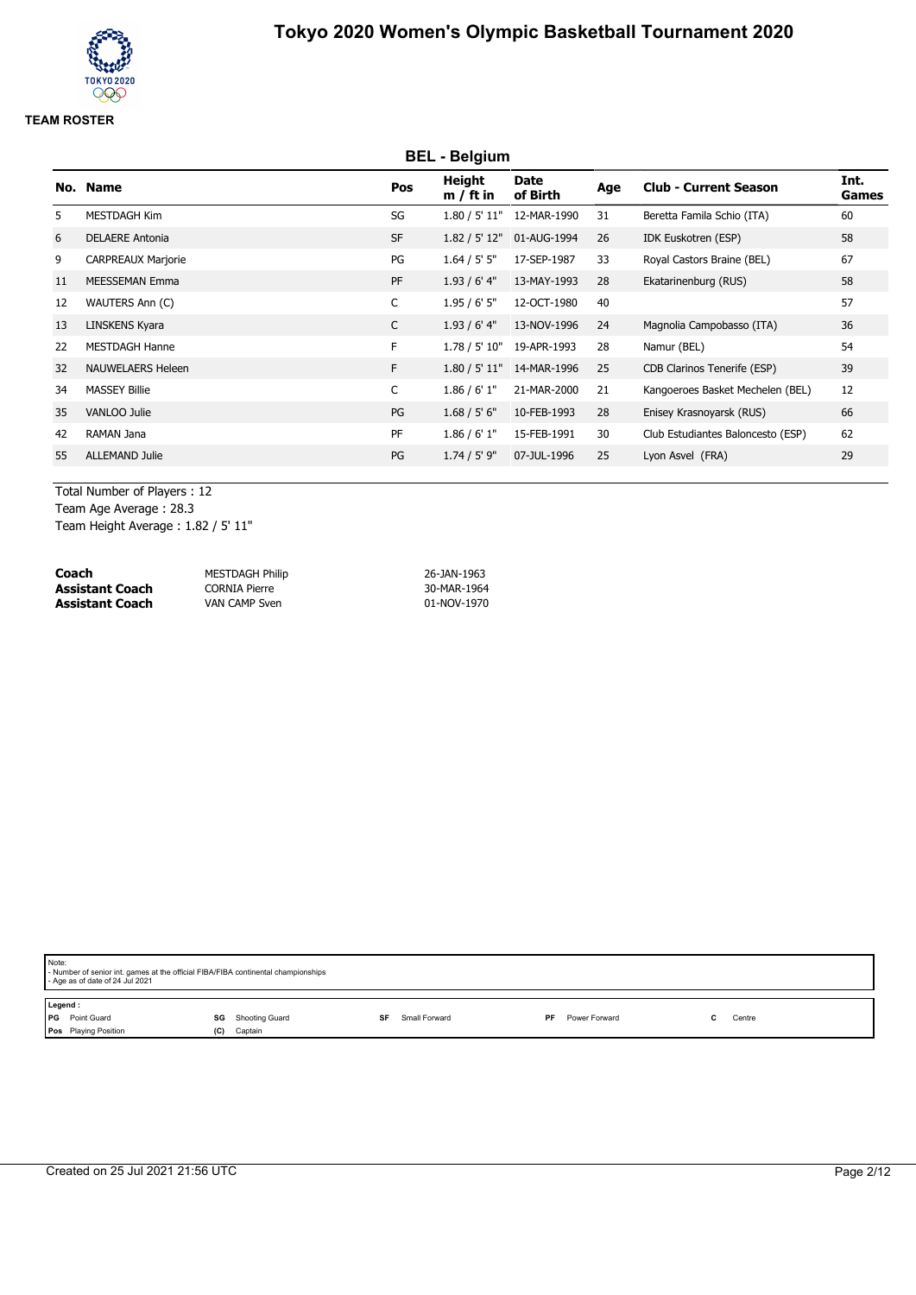# **BEL - Belgium No. Name Pos Height m / ft in Date of Birth Age Club - Current Season Int. Games** 5 MESTDAGH Kim SG 1.80 / 5' 11" 12-MAR-1990 31 Beretta Famila Schio (ITA) 60 6 DELAERE Antonia SF 1.82 / 5' 12" 01-AUG-1994 26 IDK Euskotren (ESP) 58 9 CARPREAUX Marjorie 2012 1.64 / 5' 5" 17-SEP-1987 33 Royal Castors Braine (BEL) 67 11 MEESSEMAN Emma PF 1.93 / 6' 4" 13-MAY-1993 28 Ekatarinenburg (RUS) 58 12 WAUTERS Ann (C) C 1.95 / 6' 5" 12-OCT-1980 40 57 13 LINSKENS Kyara C 1.93 / 6' 4" 13-NOV-1996 24 Magnolia Campobasso (ITA) 36 22 MESTDAGH Hanne F 1.78 / 5' 10" 19-APR-1993 28 Namur (BEL) 54 32 NAUWELAERS Heleen **F** 1.80 / 5' 11" 14-MAR-1996 25 CDB Clarinos Tenerife (ESP) 39 34 MASSEY Billie C 1.86 / 6' 1" 21-MAR-2000 21 Kangoeroes Basket Mechelen (BEL) 12 35 VANLOO Julie PG 1.68 / 5' 6" 10-FEB-1993 28 Enisey Krasnoyarsk (RUS) 66 42 RAMAN Jana **PF** 1.86 / 6' 1" 15-FEB-1991 30 Club Estudiantes Baloncesto (ESP) 62 55 ALLEMAND Julie PG 1.74 / 5' 9" 07-JUL-1996 25 Lyon Asvel (FRA) 29

Total Number of Players : 12 Team Age Average : 28.3 Team Height Average : 1.82 / 5' 11"

| Coach                  | <b>MESTDAGH Philip</b> | 26-JAN-1963 |
|------------------------|------------------------|-------------|
| <b>Assistant Coach</b> | CORNIA Pierre          | 30-MAR-1964 |
| <b>Assistant Coach</b> | VAN CAMP Sven          | 01-NOV-1970 |

| Note:   | - Number of senior int. games at the official FIBA/FIBA continental championships<br>- Age as of date of 24 Jul 2021 |     |                |               |    |               |        |
|---------|----------------------------------------------------------------------------------------------------------------------|-----|----------------|---------------|----|---------------|--------|
| Legend: |                                                                                                                      |     |                |               |    |               |        |
|         | PG Point Guard                                                                                                       | SG  | Shooting Guard | Small Forward | PF | Power Forward | Centre |
|         | Pos Playing Position                                                                                                 | (C) | Captain        |               |    |               |        |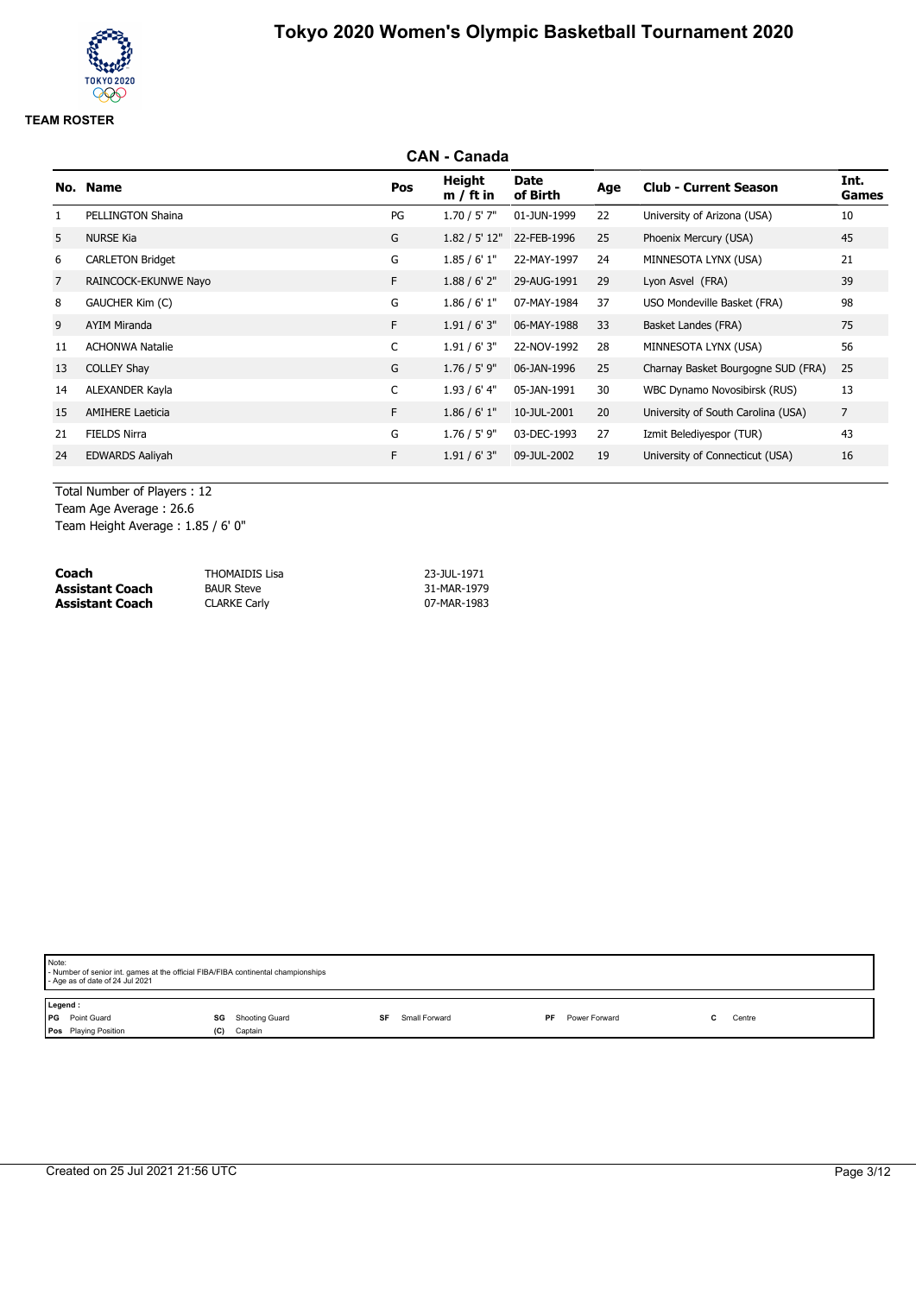## **CAN - Canada No. Name Pos Height m / ft in Date of Birth Age Club - Current Season Int. Games** 1 PELLINGTON Shaina **PG** 1.70 / 5' 7" 01-JUN-1999 22 University of Arizona (USA) 10 5 NURSE Kia G 1.82 / 5' 12" 22-FEB-1996 25 Phoenix Mercury (USA) 45 6 CARLETON Bridget G 1.85 / 6' 1" 22-MAY-1997 24 MINNESOTA LYNX (USA) 21 7 RAINCOCK-EKUNWE Nayo F 1.88 / 6' 2" 29-AUG-1991 29 Lyon Asvel (FRA) 39 8 GAUCHER Kim (C) COMEXALL G 1.86 / 6' 1" 07-MAY-1984 37 USO Mondeville Basket (FRA) 98 9 AYIM Miranda F 1.91 / 6' 3" 06-MAY-1988 33 Basket Landes (FRA) 75 11 ACHONWA Natalie C 1.91 / 6' 3" 22-NOV-1992 28 MINNESOTA LYNX (USA) 56 13 COLLEY Shay G 1.76 / 5' 9" 06-JAN-1996 25 Charnay Basket Bourgogne SUD (FRA) 25 14 ALEXANDER Kayla C 1.93 / 6' 4" 05-JAN-1991 30 WBC Dynamo Novosibirsk (RUS) 13 15 AMIHERE Laeticia **F** 1.86 / 6' 1" 10-JUL-2001 20 University of South Carolina (USA) 7 21 FIELDS Nirra G 1.76 / 5' 9" 03-DEC-1993 27 Izmit Belediyespor (TUR) 43 24 EDWARDS Aaliyah F 1.91 / 6' 3" 09-JUL-2002 19 University of Connecticut (USA) 16

Total Number of Players : 12 Team Age Average : 26.6

Team Height Average : 1.85 / 6' 0"

| Coach           | THOMAIDIS Lisa      | 23-JUL-1971 |
|-----------------|---------------------|-------------|
| Assistant Coach | <b>BAUR Steve</b>   | 31-MAR-1979 |
| Assistant Coach | <b>CLARKE Carly</b> | 07-MAR-1983 |

| Note: | - Number of senior int. games at the official FIBA/FIBA continental championships<br>- Age as of date of 24 Jul 2021 |     |                          |           |               |    |               |        |
|-------|----------------------------------------------------------------------------------------------------------------------|-----|--------------------------|-----------|---------------|----|---------------|--------|
|       | Legend:                                                                                                              |     |                          |           |               |    |               |        |
|       | <b>PG</b> Point Guard                                                                                                |     | <b>SG</b> Shooting Guard | <b>SF</b> | Small Forward | PF | Power Forward | Centre |
|       | Pos Playing Position                                                                                                 | (C) | Captain                  |           |               |    |               |        |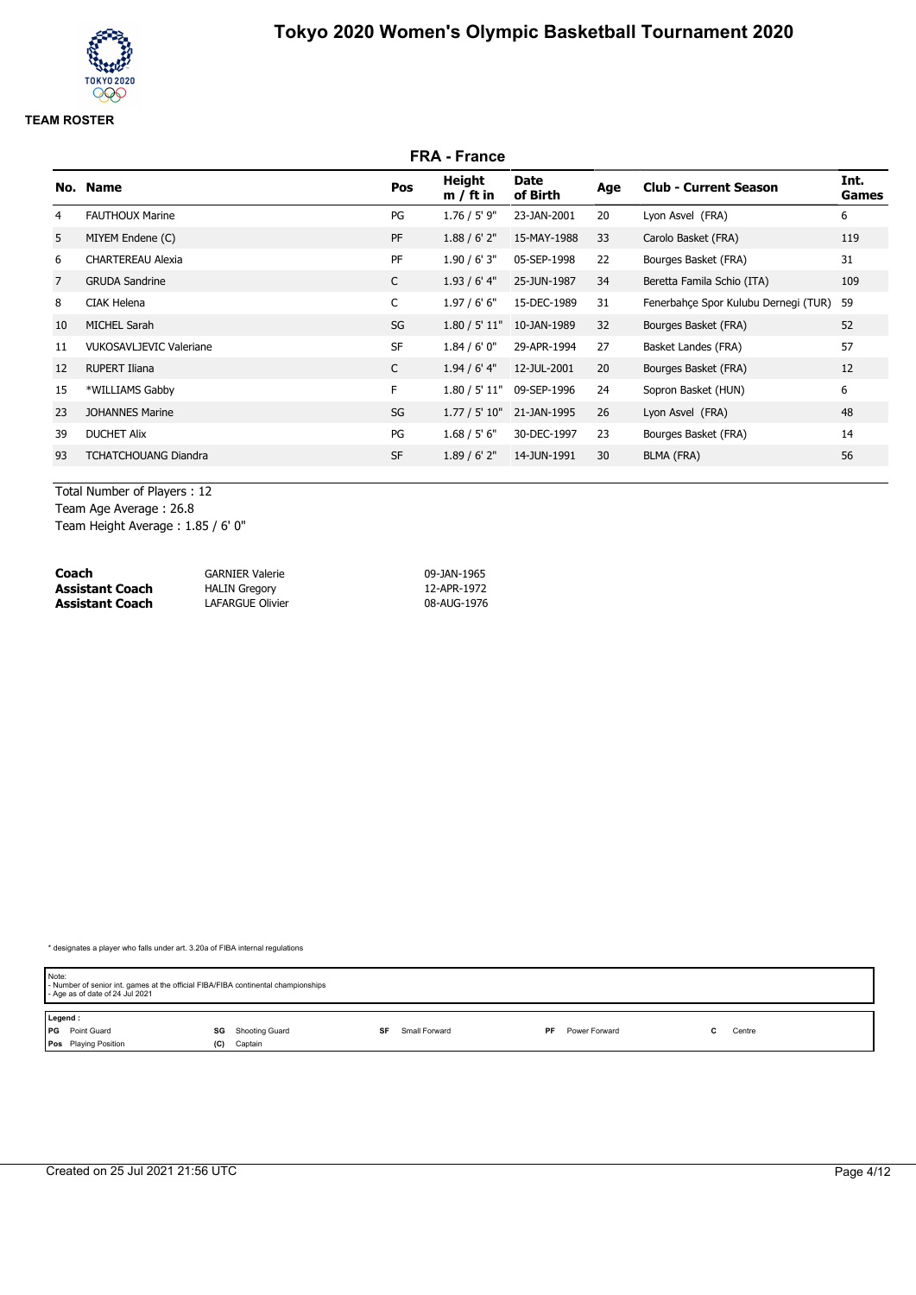# **FRA - France No. Name Pos Height m / ft in Date of Birth Age Club - Current Season Int. Games** 4 FAUTHOUX Marine PG 1.76 / 5' 9" 23-JAN-2001 20 Lyon Asvel (FRA) 6 5 MIYEM Endene (C) 2012 119 PF 1.88 / 6' 2" 15-MAY-1988 33 Carolo Basket (FRA) 119 6 CHARTEREAU Alexia PF 1.90 / 6' 3" 05-SEP-1998 22 Bourges Basket (FRA) 31 7 GRUDA Sandrine C 1.93 / 6' 4" 25-JUN-1987 34 Beretta Famila Schio (ITA) 109 8 CIAK Helena **C** 1.97 / 6' 6" 1.97 / 6' 6" 1.97 / 6' 6" 15-DEC-1989 31 Fenerbahçe Spor Kulubu Dernegi (TUR) 59 10 MICHEL Sarah SG 1.80 / 5' 11" 10-JAN-1989 32 Bourges Basket (FRA) 52 11 VUKOSAVLJEVIC Valeriane SF 1.84 / 6' 0" 29-APR-1994 27 Basket Landes (FRA) 57 12 RUPERT Iliana C 1.94 / 6' 4" 12-JUL-2001 20 Bourges Basket (FRA) 12 15 \*WILLIAMS Gabby F 1.80 / 5' 11" 09-SEP-1996 24 Sopron Basket (HUN) 6 23 JOHANNES Marine 2010 12:00 SG 1.77 / 5' 10" 21-JAN-1995 26 Lyon Asvel (FRA) 39 DUCHET Alix PG 1.68 / 5' 6" 30-DEC-1997 23 Bourges Basket (FRA) 14 93 TCHATCHOUANG Diandra 1988 1.89 / 6' 2" 14-JUN-1991 30 BLMA (FRA) 56

Total Number of Players : 12 Team Age Average : 26.8 Team Height Average : 1.85 / 6' 0"

| Coach                  | <b>GARNIER Valerie</b> | 09-JAN-1965 |
|------------------------|------------------------|-------------|
| <b>Assistant Coach</b> | <b>HALIN Gregory</b>   | 12-APR-1972 |
| <b>Assistant Coach</b> | LAFARGUE Olivier       | 08-AUG-1976 |

| Note:   | - Number of senior int. games at the official FIBA/FIBA continental championships<br>- Age as of date of 24 Jul 2021 |     |                |    |               |     |               |        |  |
|---------|----------------------------------------------------------------------------------------------------------------------|-----|----------------|----|---------------|-----|---------------|--------|--|
| Legend: |                                                                                                                      |     |                |    |               |     |               |        |  |
|         | PG Point Guard                                                                                                       | SG  | Shooting Guard | SF | Small Forward | PF. | Power Forward | Centre |  |
|         | <b>Pos</b> Playing Position                                                                                          | (C) | Captain        |    |               |     |               |        |  |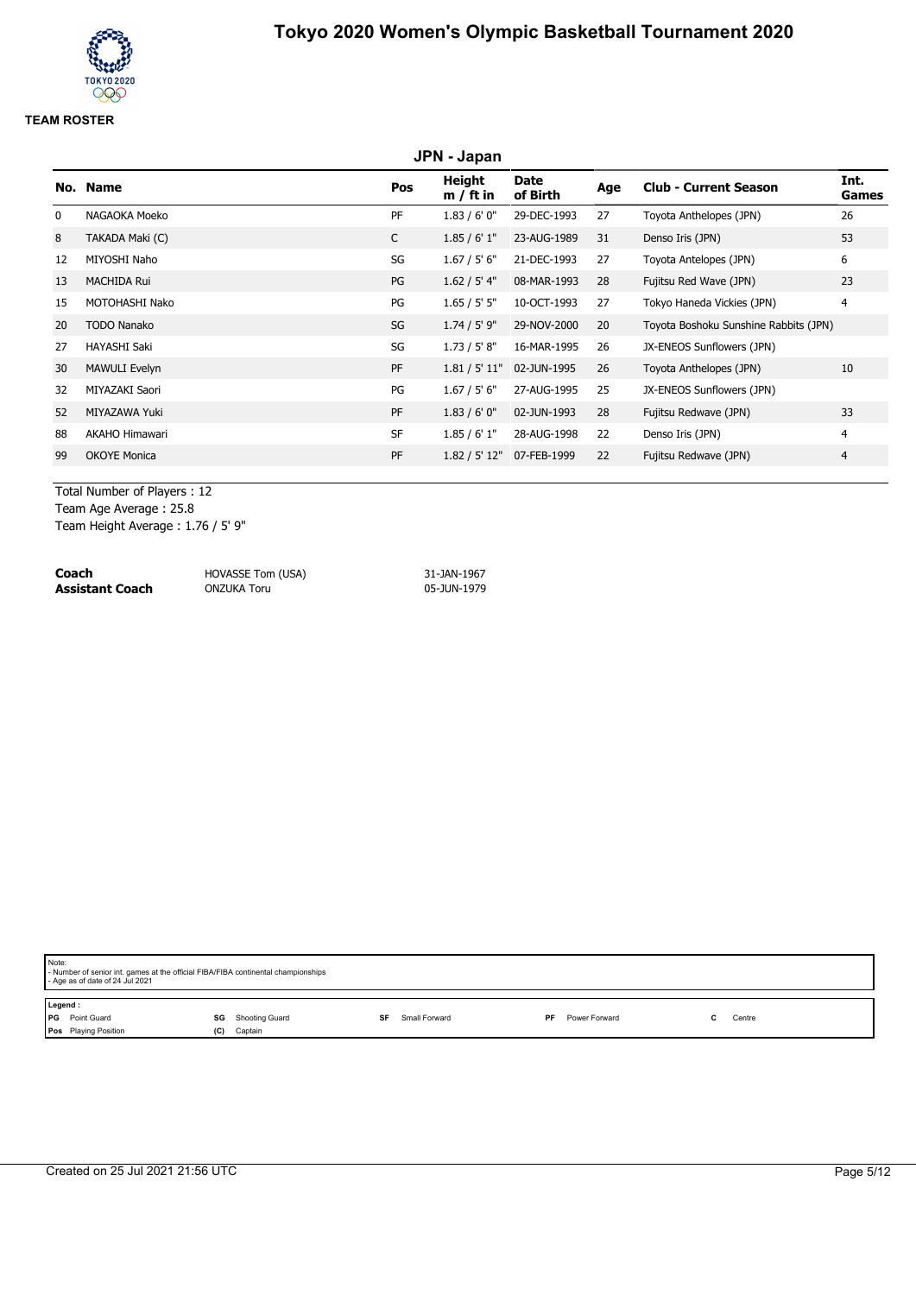# **JPN - Japan No. Name Pos Height m / ft in Date of Birth Age Club - Current Season Int. Games** 0 NAGAOKA Moeko 26 - 20 PF 1.83 / 6' 0" 29-DEC-1993 27 Toyota Anthelopes (JPN) 26 8 TAKADA Maki (C) C 1.85 / 6' 1" 23-AUG-1989 31 Denso Iris (JPN) 53 12 MIYOSHI Naho SG 1.67 / 5' 6" 21-DEC-1993 27 Toyota Antelopes (JPN) 6 13 MACHIDA Rui 23 ANDENIDA RUI PG 1.62 / 5' 4" 08-MAR-1993 28 Fujitsu Red Wave (JPN) 23 15 MOTOHASHI Nako PG 1.65 / 5' 5" 10-OCT-1993 27 Tokyo Haneda Vickies (JPN) 4 20 TODO Nanako SG 1.74 / 5' 9" 29-NOV-2000 20 Toyota Boshoku Sunshine Rabbits (JPN) 27 HAYASHI Saki Saki Sama Sama SG 1.73 / 5' 8" 16-MAR-1995 26 JX-ENEOS Sunflowers (JPN) 30 MAWULI Evelyn PF 1.81 / 5' 11" 02-JUN-1995 26 Toyota Anthelopes (JPN) 10 32 MIYAZAKI Saori **PG** 1.67 / 5' 6" 27-AUG-1995 25 JX-ENEOS Sunflowers (JPN) 52 MIYAZAWA Yuki PF 1.83 / 6' 0" 02-JUN-1993 28 Fujitsu Redwave (JPN) 33 88 AKAHO Himawari 1988 SF 1.85 / 6' 1" 28-AUG-1998 22 Denso Iris (JPN) 4 99 OKOYE Monica 2008 22 PF 1.82 / 5' 12" 07-FEB-1999 22 Fujitsu Redwave (JPN) 4

Total Number of Players : 12

Team Age Average : 25.8

Team Height Average : 1.76 / 5' 9"

| Coach                  | HOVASSE Tom (USA) | 31-JAN-1967 |
|------------------------|-------------------|-------------|
| <b>Assistant Coach</b> | ONZUKA Toru       | 05-JUN-1979 |

| Note:                                                        | - Number of senior int. games at the official FIBA/FIBA continental championships<br>- Age as of date of 24 Jul 2021 |     |         |           |               |     |               |  |        |
|--------------------------------------------------------------|----------------------------------------------------------------------------------------------------------------------|-----|---------|-----------|---------------|-----|---------------|--|--------|
| Legend:<br><b>PG</b> Point Guard<br><b>SG</b> Shooting Guard |                                                                                                                      |     |         | <b>SF</b> | Small Forward | PF. | Power Forward |  | Centre |
|                                                              | Pos Playing Position                                                                                                 | (C) | Captain |           |               |     |               |  |        |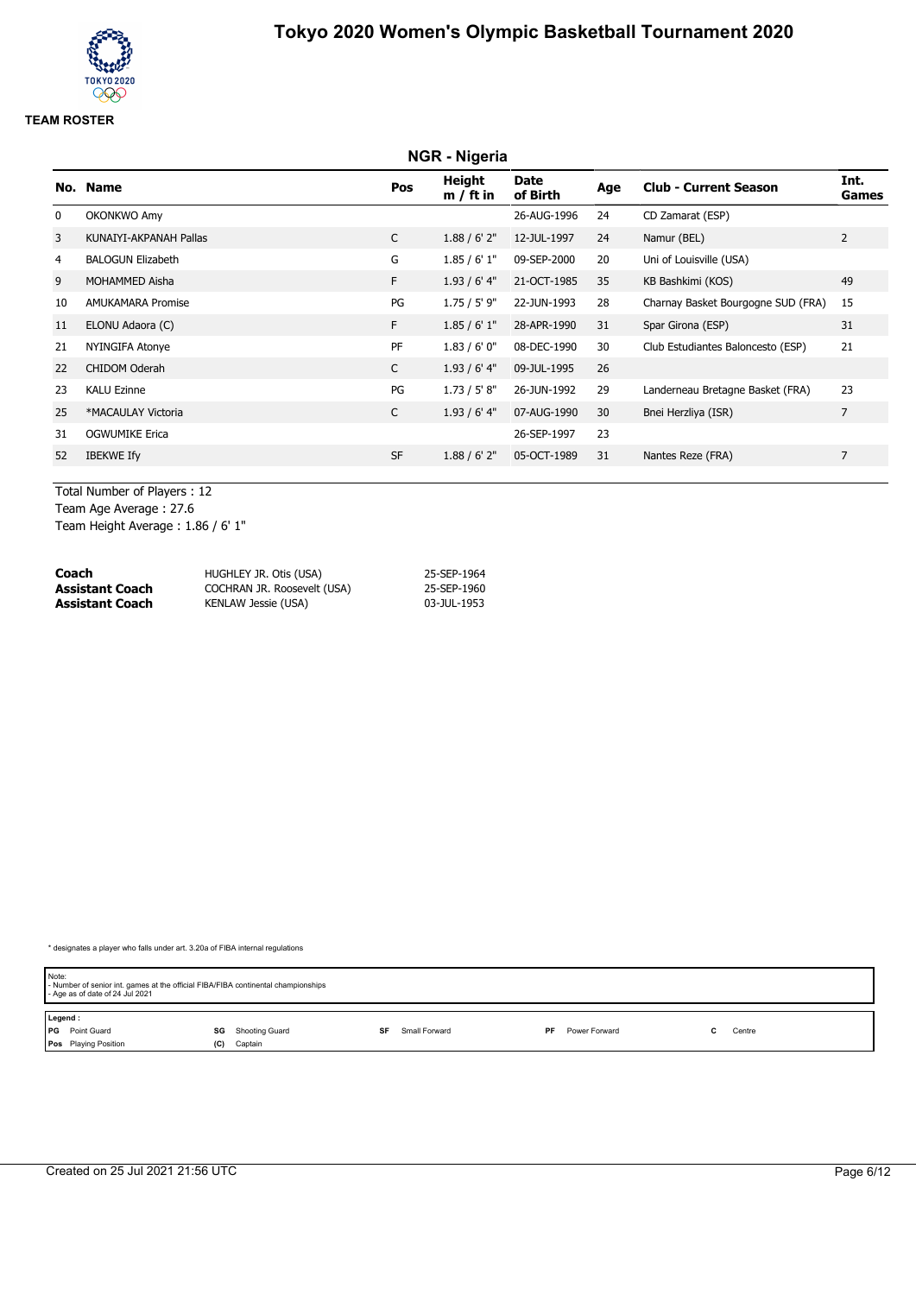# **NGR - Nigeria No. Name Pos Height m / ft in Date of Birth Age Club - Current Season Int. Games** 0 OKONKWO Amy 26-AUG-1996 24 CD Zamarat (ESP) 3 KUNAIYI-AKPANAH Pallas C 1.88 / 6' 2" 12-JUL-1997 24 Namur (BEL) 2 4 BALOGUN Elizabeth G 1.85 / 6' 1" 09-SEP-2000 20 Uni of Louisville (USA) 9 MOHAMMED Aisha F 1.93 / 6' 4" 21-OCT-1985 35 KB Bashkimi (KOS) 49 10 AMUKAMARA Promise PG 1.75 / 5' 9" 22-JUN-1993 28 Charnay Basket Bourgogne SUD (FRA) 15 11 ELONU Adaora (C) F 1.85 / 6' 1" 28-APR-1990 31 Spar Girona (ESP) 31 21 NYINGIFA Atonye PF 1.83 / 6' 0" 08-DEC-1990 30 Club Estudiantes Baloncesto (ESP) 21 22 CHIDOM Oderah C 1.93 / 6' 4" 09-JUL-1995 26 23 KALU Ezinne 23 KALU Ezinne 23 CHALU Ezinne 23 CHALU Ezinne 23 CHALU Ezinne 25 \*MACAULAY Victoria C 1.93 / 6' 4" 07-AUG-1990 30 Bnei Herzliya (ISR) 7 31 OGWUMIKE Erica 26-SEP-1997 23 52 IBEKWE Ify **SF 1.88 / 6' 2" 05-OCT-1989** 31 Nantes Reze (FRA) 7

Total Number of Players : 12 Team Age Average : 27.6 Team Height Average : 1.86 / 6' 1"

| Coach           | HUGHLEY JR. Otis (USA)      | 25-SEP-1964 |
|-----------------|-----------------------------|-------------|
| Assistant Coach | COCHRAN JR. Roosevelt (USA) | 25-SEP-1960 |
| Assistant Coach | KENLAW Jessie (USA)         | 03-JUL-1953 |

| Note:   |                       |     |                |    |               |     |               | - Number of senior int. games at the official FIBA/FIBA continental championships<br>- Age as of date of 24 Jul 2021 |  |  |  |  |  |  |  |
|---------|-----------------------|-----|----------------|----|---------------|-----|---------------|----------------------------------------------------------------------------------------------------------------------|--|--|--|--|--|--|--|
| Legend: |                       |     |                |    |               |     |               |                                                                                                                      |  |  |  |  |  |  |  |
|         | <b>PG</b> Point Guard | SG  | Shooting Guard | SF | Small Forward | PF. | Power Forward | Centre                                                                                                               |  |  |  |  |  |  |  |
|         | Pos Playing Position  | (C) | Captain        |    |               |     |               |                                                                                                                      |  |  |  |  |  |  |  |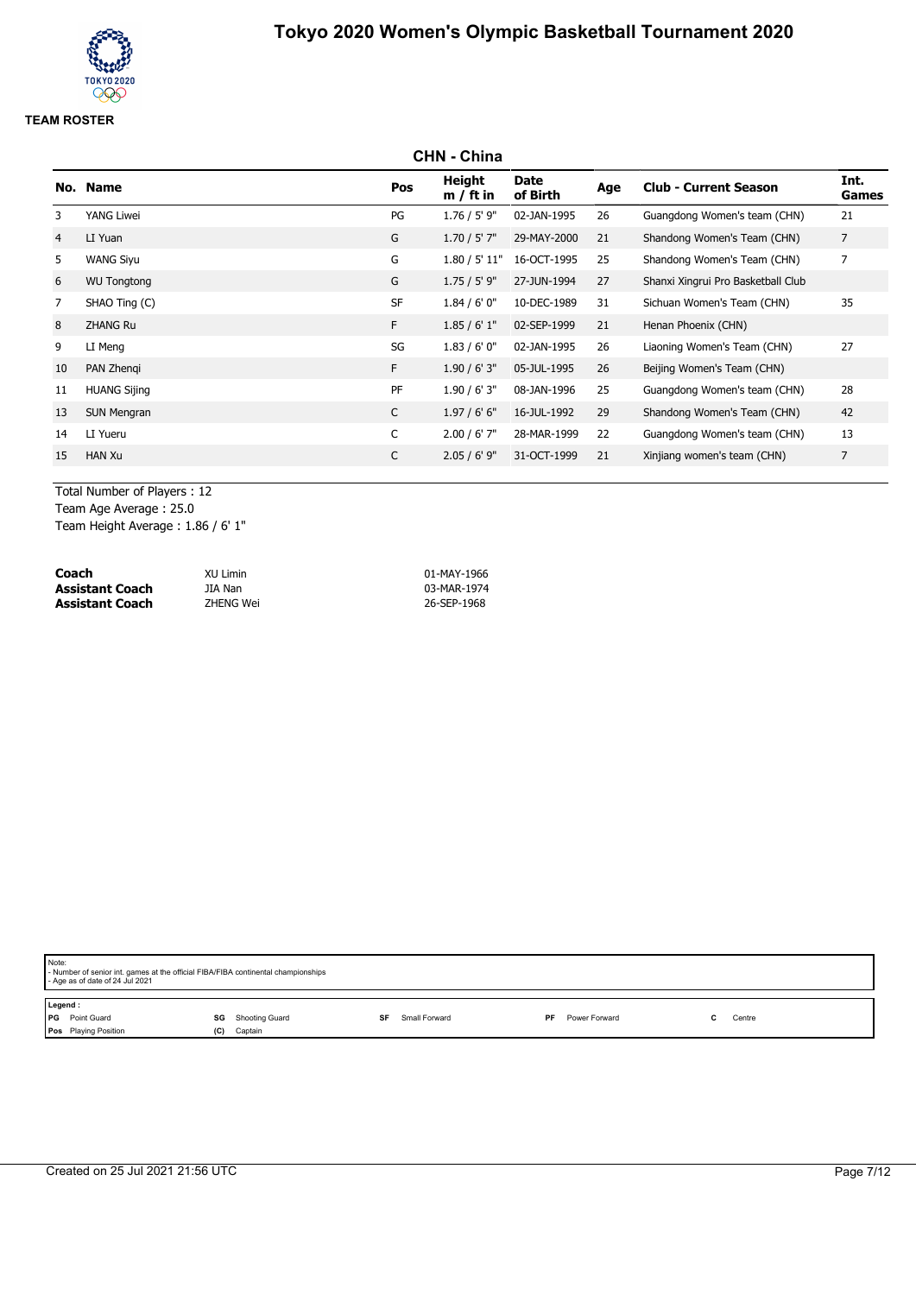# **CHN - China No. Name Pos Height m / ft in Date of Birth Age Club - Current Season Int. Games** 3 YANG Liwei PG 1.76 / 5' 9" 02-JAN-1995 26 Guangdong Women's team (CHN) 21 4 LI Yuan G 1.70 / 5' 7" 29-MAY-2000 21 Shandong Women's Team (CHN) 7 5 WANG Siyu G 1.80 / 5' 11" 16-OCT-1995 25 Shandong Women's Team (CHN) 7 6 WU Tongtong G 1.75 / 5' 9" 27-JUN-1994 27 Shanxi Xingrui Pro Basketball Club 7 SHAO Ting (C) SF 1.84 / 6' 0" 10-DEC-1989 31 Sichuan Women's Team (CHN) 35 8 ZHANG Ru F 1.85 / 6' 1" 02-SEP-1999 21 Henan Phoenix (CHN) 9 LI Meng 27 Cumped and SG 26 SG 2018 1.83 / 6' 0" 02-JAN-1995 26 Liaoning Women's Team (CHN) 27 10 PAN Zhenqi F 1.90 / 6' 3" 05-JUL-1995 26 Beijing Women's Team (CHN) 11 HUANG Sijing PF 1.90 / 6' 3" 08-JAN-1996 25 Guangdong Women's team (CHN) 28 13 SUN Mengran C 1.97 / 6' 6" 16-JUL-1992 29 Shandong Women's Team (CHN) 42 14 LI Yueru C 2.00 / 6' 7" 28-MAR-1999 22 Guangdong Women's team (CHN) 13 15 HAN Xu C 2.05 / 6' 9" 31-OCT-1999 21 Xinjiang women's team (CHN) 7

Total Number of Players : 12

Team Age Average : 25.0

Team Height Average : 1.86 / 6' 1"

| Coach                  | XU Limin  | 01-MAY-1966 |
|------------------------|-----------|-------------|
| Assistant Coach        | JIA Nan   | 03-MAR-1974 |
| <b>Assistant Coach</b> | ZHENG Wei | 26-SEP-1968 |

| Note: | - Number of senior int. games at the official FIBA/FIBA continental championships<br>- Age as of date of 24 Jul 2021 |     |                |           |               |    |               |  |        |  |  |
|-------|----------------------------------------------------------------------------------------------------------------------|-----|----------------|-----------|---------------|----|---------------|--|--------|--|--|
|       | Legend:                                                                                                              |     |                |           |               |    |               |  |        |  |  |
|       | PG Point Guard                                                                                                       | SG  | Shooting Guard | <b>SF</b> | Small Forward | PF | Power Forward |  | Centre |  |  |
|       | Pos Playing Position                                                                                                 | (C) | Captain        |           |               |    |               |  |        |  |  |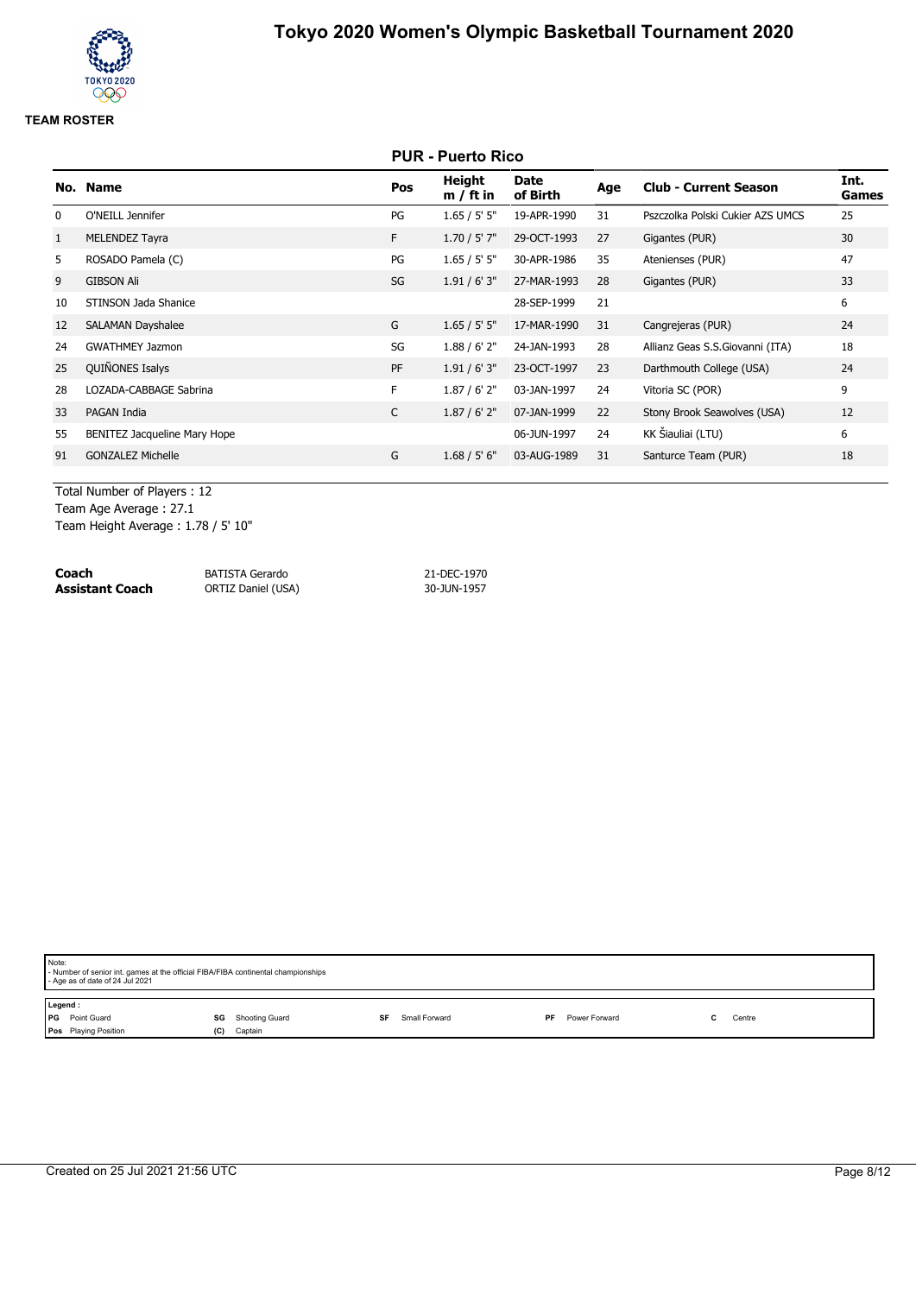# **PUR - Puerto Rico No. Name Pos Height m / ft in Date of Birth Age Club - Current Season Int. Games** 0 O'NEILL Jennifer The PG 1.65 / 5' 5" 19-APR-1990 31 Pszczolka Polski Cukier AZS UMCS 25 1 MELENDEZ Tayra F 1.70 / 5' 7" 29-OCT-1993 27 Gigantes (PUR) 30 5 ROSADO Pamela (C) PG 1.65 / 5' 5" 30-APR-1986 35 Atenienses (PUR) 47 9 GIBSON Ali SG 1.91 / 6' 3" 27-MAR-1993 28 Gigantes (PUR) 33 10 STINSON Jada Shanice 6 and 28-SEP-1999 21 6 and 28-SEP-1999 21 12 SALAMAN Dayshalee G 1.65 / 5' 5" 17-MAR-1990 31 Cangrejeras (PUR) 24 24 GWATHMEY Jazmon SG 1.88 / 6' 2" 24-JAN-1993 28 Allianz Geas S.S.Giovanni (ITA) 18 <sup>25</sup> QUIÑONES Isalys PF 1.91 / 6' 3" 23-OCT-1997 <sup>23</sup> Darthmouth College (USA) <sup>24</sup> 28 LOZADA-CABBAGE Sabrina F 1.87 / 6' 2" 03-JAN-1997 24 Vitoria SC (POR) 9 33 PAGAN India C 1.87 / 6' 2" 07-JAN-1999 22 Stony Brook Seawolves (USA) 12 55 BENITEZ Jacqueline Mary Hope 66-JUN-1997 24 KK Šiauliai (LTU) 66-JUN-1997 24 KK Šiauliai (LTU) 91 GONZALEZ Michelle 18 CONZALEZ Michelle 1.68 / 5' 6" 03-AUG-1989 31 Santurce Team (PUR) 18

Total Number of Players : 12 Team Age Average : 27.1 Team Height Average : 1.78 / 5' 10"

| Coach           | BATISTA Gerardo           | 21-DEC-1970 |
|-----------------|---------------------------|-------------|
| Assistant Coach | <b>ORTIZ Daniel (USA)</b> | 30-JUN-1957 |

| Note:                | - Number of senior int. games at the official FIBA/FIBA continental championships<br>- Age as of date of 24 Jul 2021 |     |                          |    |               |     |               |        |
|----------------------|----------------------------------------------------------------------------------------------------------------------|-----|--------------------------|----|---------------|-----|---------------|--------|
| Legend:<br><b>PG</b> | Point Guard                                                                                                          |     | <b>SG</b> Shooting Guard | SF | Small Forward | PF. | Power Forward | Centre |
|                      | Pos Playing Position                                                                                                 | (C) | Captain                  |    |               |     |               |        |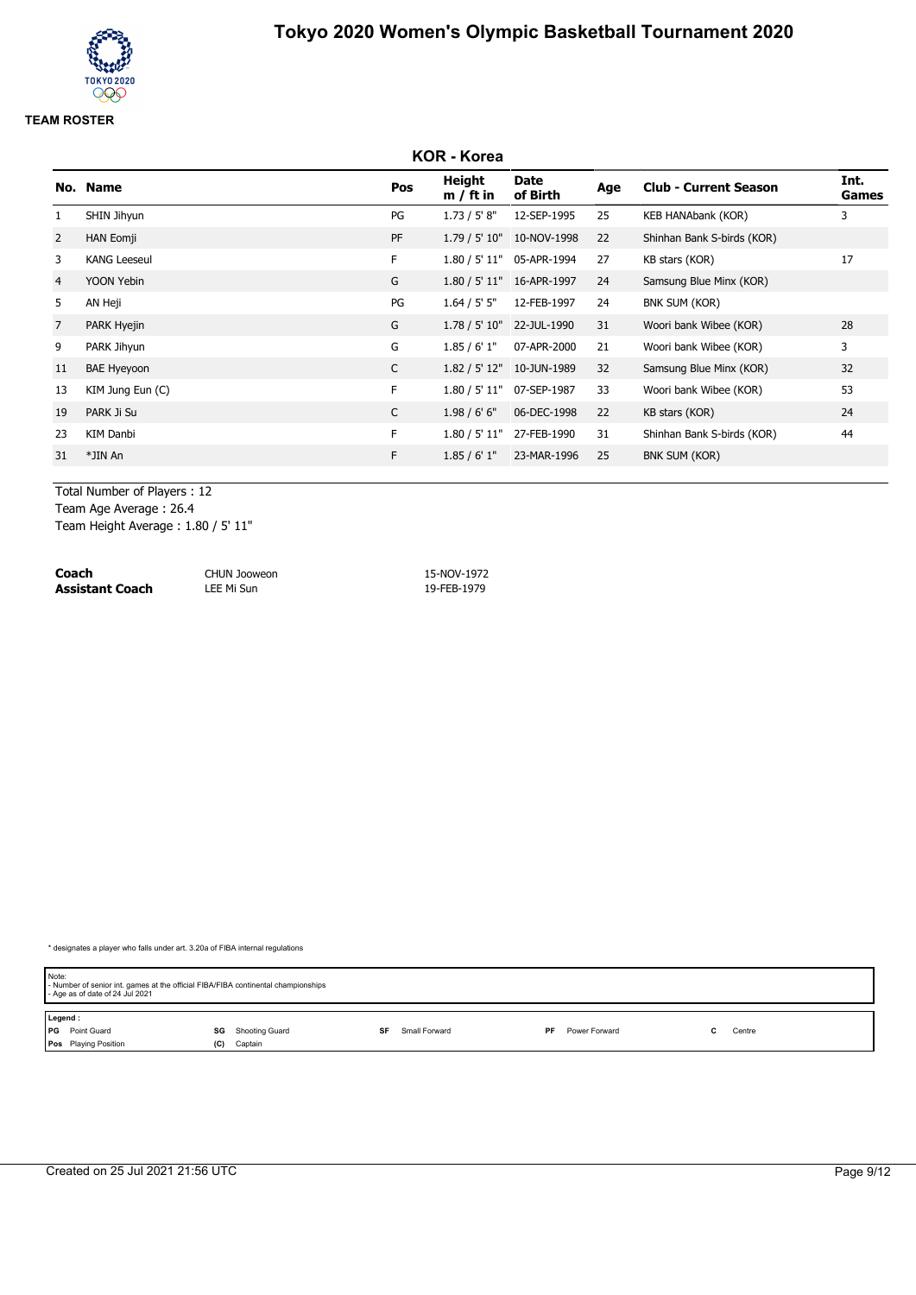# **KOR - Korea No. Name Pos Height m / ft in Date of Birth Age Club - Current Season Int. Games** 1 SHIN Jihyun PG 1.73 / 5' 8" 12-SEP-1995 25 KEB HANAbank (KOR) 3 2 HAN Eomji PF 1.79 / 5' 10" 10-NOV-1998 22 Shinhan Bank S-birds (KOR) 3 KANG Leeseul F 1.80 / 5' 11" 05-APR-1994 27 KB stars (KOR) 17 4 YOON Yebin G 1.80 / 5' 11" 16-APR-1997 24 Samsung Blue Minx (KOR) 5 AN Heji PG 1.64 / 5' 5" 12-FEB-1997 24 BNK SUM (KOR) 7 PARK Hyejin G 1.78 / 5' 10" 22-JUL-1990 31 Woori bank Wibee (KOR) 28 9 PARK Jihyun G 1.85 / 6' 1" 07-APR-2000 21 Woori bank Wibee (KOR) 3 11 BAE Hyeyoon **C** 1.82 / 5' 12" 10-JUN-1989 32 Samsung Blue Minx (KOR) 32 13 KIM Jung Eun (C) **F** 1.80 / 5' 11" 07-SEP-1987 33 Woori bank Wibee (KOR) 53 19 PARK Ji Su C 1.98 / 6' 6" 06-DEC-1998 22 KB stars (KOR) 24 23 KIM Danbi F 1.80 / 5' 11" 27-FEB-1990 31 Shinhan Bank S-birds (KOR) 44 31 \*JIN An F 1.85 / 6' 1" 23-MAR-1996 25 BNK SUM (KOR)

Total Number of Players : 12

Team Age Average : 26.4

Team Height Average : 1.80 / 5' 11"

| Coach                  | <b>CHUN Jooweon</b> | 15-NOV-1972 |
|------------------------|---------------------|-------------|
| <b>Assistant Coach</b> | LEE Mi Sun          | 19-FEB-1979 |

| Note:   | - Number of senior int. games at the official FIBA/FIBA continental championships<br>- Age as of date of 24 Jul 2021 |     |                |    |               |    |               |        |  |
|---------|----------------------------------------------------------------------------------------------------------------------|-----|----------------|----|---------------|----|---------------|--------|--|
| Legend: |                                                                                                                      |     |                |    |               |    |               |        |  |
|         | <b>PG</b> Point Guard                                                                                                | SG  | Shooting Guard | SF | Small Forward | PF | Power Forward | Centre |  |
|         | <b>Pos</b> Playing Position                                                                                          | (C) | Captain        |    |               |    |               |        |  |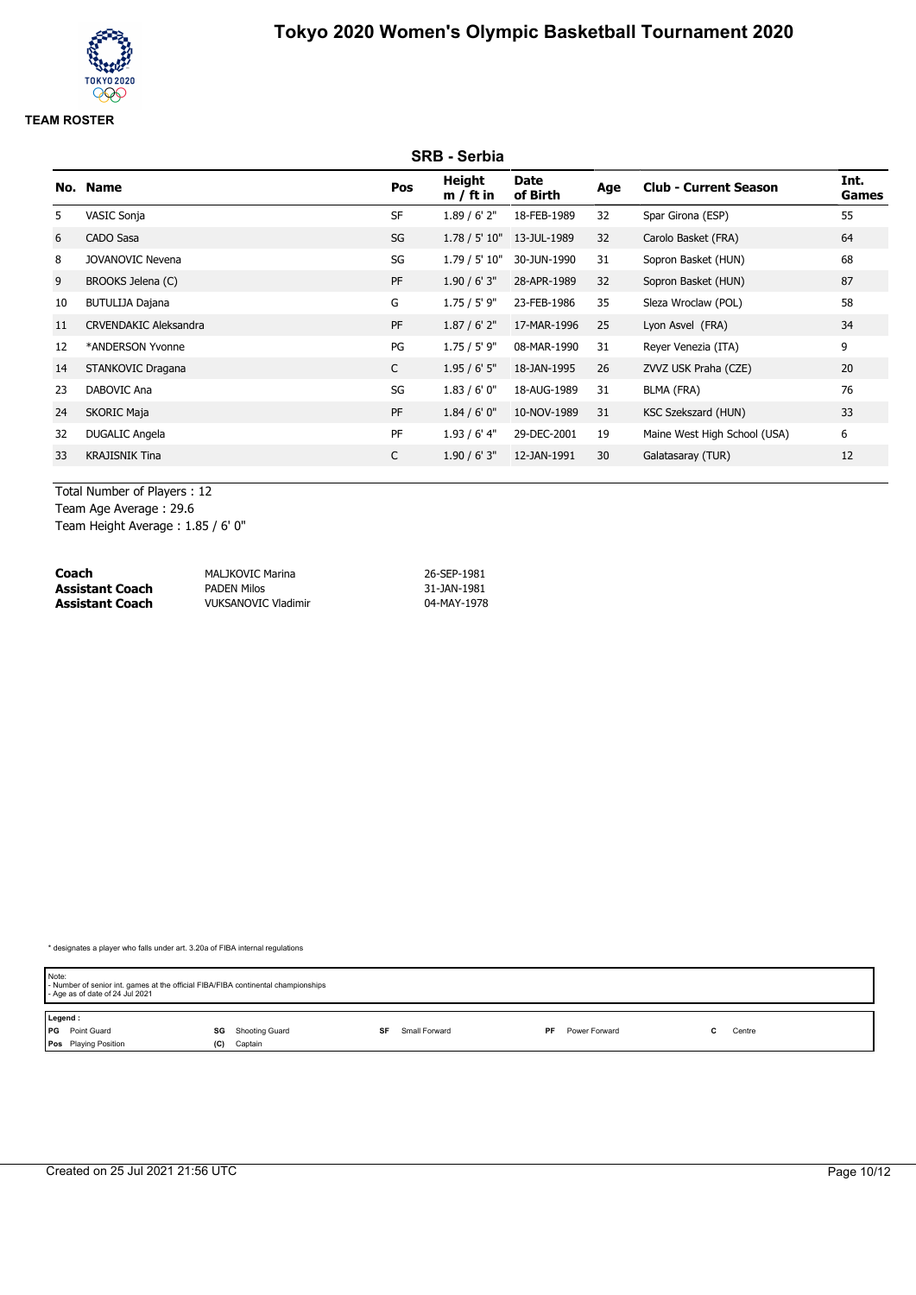# **SRB - Serbia No. Name Pos Height m / ft in Date of Birth Age Club - Current Season Int. Games** 5 VASIC Sonja SF 1.89 / 6' 2" 18-FEB-1989 32 Spar Girona (ESP) 55 6 CADO Sasa SG 1.78 / 5' 10" 13-JUL-1989 32 Carolo Basket (FRA) 64 8 JOVANOVIC Nevena SG 1.79 / 5' 10" 30-JUN-1990 31 Sopron Basket (HUN) 68 9 BROOKS Jelena (C) <br>
9 BROOKS Jelena (C) 
9 BROOKS Jelena (C) 
9 BROOKS Jelena (C) 
9 BROOKS Jelena (C) 
9 BROOKS Jelena (C) 
9 BROOKS Jelena (C) 
9 BROOKS Jelena (C) 
9 BROOKS Jelena (C) 
9 BROOKS Jelena (C) 
9 BROOKS Je 10 BUTULIJA Dajana G 1.75 / 5' 9" 23-FEB-1986 35 Sleza Wroclaw (POL) 58 11 CRVENDAKIC Aleksandra PF 1.87 / 6' 2" 17-MAR-1996 25 Lyon Asvel (FRA) 34 12 \*ANDERSON Yvonne PG 1.75 / 5' 9" 08-MAR-1990 31 Reyer Venezia (ITA) 9 14 STANKOVIC Dragana C 1.95 / 6' 5" 18-JAN-1995 26 ZVVZ USK Praha (CZE) 20 23 DABOVIC Ana SG 1.83 / 6' 0" 18-AUG-1989 31 BLMA (FRA) 76 24 SKORIC Maja **PF** 1.84 / 6' 0" 10-NOV-1989 31 KSC Szekszard (HUN) 33 32 DUGALIC Angela PF 1.93 / 6' 4" 29-DEC-2001 19 Maine West High School (USA) 6 33 KRAJISNIK Tina C 1.90 / 6' 3" 12-JAN-1991 30 Galatasaray (TUR) 12

Total Number of Players : 12 Team Age Average : 29.6

Team Height Average : 1.85 / 6' 0"

| Coach           | MALJKOVIC Marina           | 26-SEP-1981 |
|-----------------|----------------------------|-------------|
| Assistant Coach | <b>PADEN Milos</b>         | 31-JAN-1981 |
| Assistant Coach | <b>VUKSANOVIC Vladimir</b> | 04-MAY-1978 |

| Note:   | - Number of senior int. games at the official FIBA/FIBA continental championships<br>- Age as of date of 24 Jul 2021 |     |                |    |               |    |               |        |  |
|---------|----------------------------------------------------------------------------------------------------------------------|-----|----------------|----|---------------|----|---------------|--------|--|
| Legend: |                                                                                                                      |     |                |    |               |    |               |        |  |
|         | <b>PG</b> Point Guard                                                                                                | SG  | Shooting Guard | SF | Small Forward | PF | Power Forward | Centre |  |
|         | Pos Playing Position                                                                                                 | (C) | Captain        |    |               |    |               |        |  |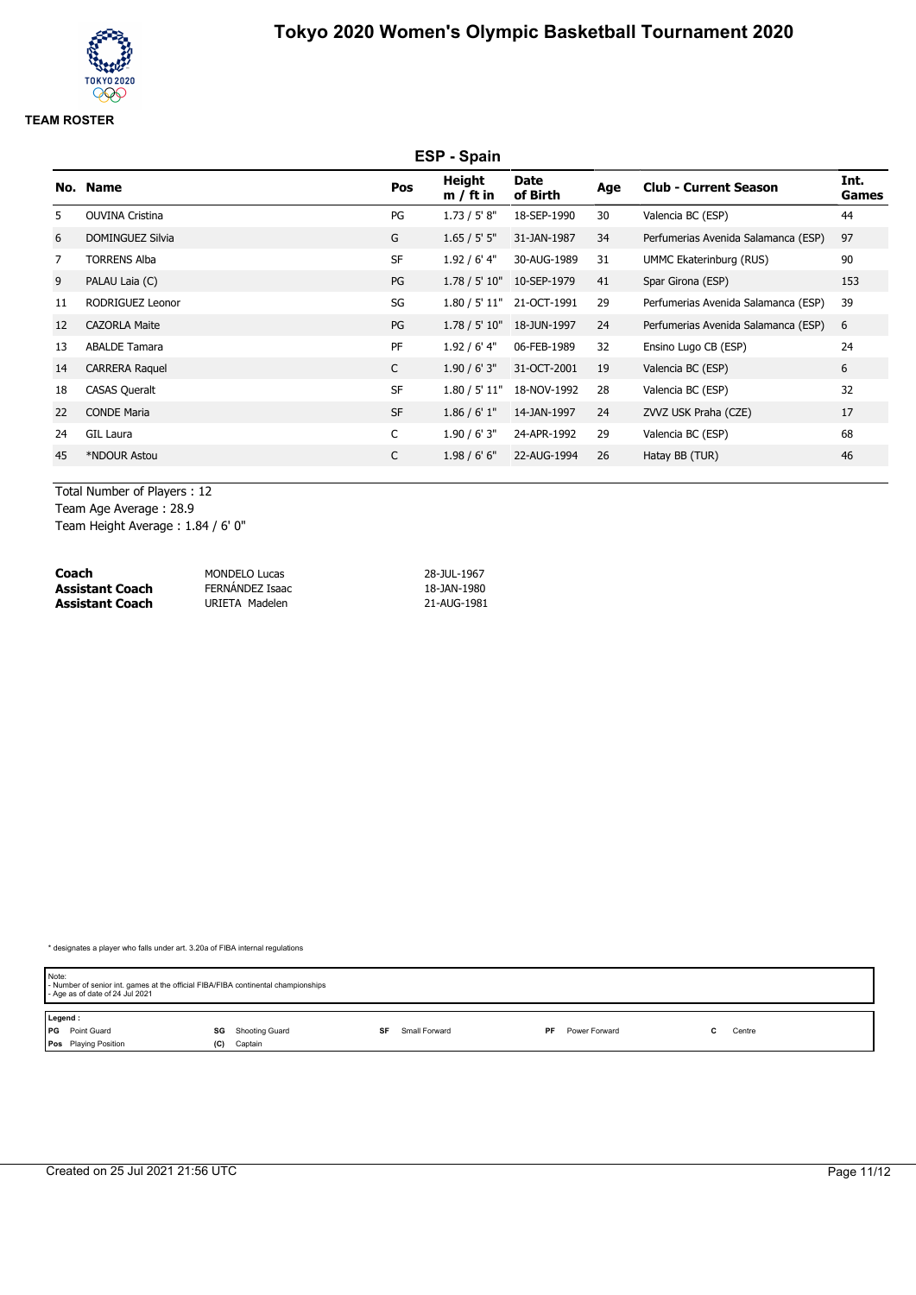# **ESP - Spain No. Name Pos Height m / ft in Date of Birth Age Club - Current Season Int. Games** 5 OUVINA Cristina PG 1.73 / 5' 8" 18-SEP-1990 30 Valencia BC (ESP) 44 6 DOMINGUEZ Silvia G 1.65 / 5' 5" 31-JAN-1987 34 Perfumerias Avenida Salamanca (ESP) 97 7 TORRENS Alba ST 1.92 / 6' 4" 30-AUG-1989 31 UMMC Ekaterinburg (RUS) 90 9 PALAU Laia (C) 253 100 PG 1.78 / 5' 10" 10-SEP-1979 11 Spar Girona (ESP) 153 11 RODRIGUEZ Leonor SG 1.80 / 5' 11" 21-OCT-1991 29 Perfumerias Avenida Salamanca (ESP) 39 12 CAZORLA Maite PG 1.78 / 5' 10" 18-JUN-1997 24 Perfumerias Avenida Salamanca (ESP) 6 13 ABALDE Tamara 24 **PF 1.92 / 6' 4" 06-FEB-1989 32** Ensino Lugo CB (ESP) 24 14 CARRERA Raquel C 1.90 / 6' 3" 31-OCT-2001 19 Valencia BC (ESP) 6 18 CASAS Queralt 18 CASAS Queralt 18 CASAS Queralt 18-NOV-1992 28 Valencia BC (ESP) 22 CONDE Maria SF 1.86 / 6' 1" 14-JAN-1997 24 ZVVZ USK Praha (CZE) 17 24 GIL Laura C 1.90 / 6' 3" 24-APR-1992 29 Valencia BC (ESP) 68 45 \*NDOUR Astou C 1.98 / 6' 6" 22-AUG-1994 26 Hatay BB (TUR) 46

Total Number of Players : 12

Team Age Average : 28.9

Team Height Average : 1.84 / 6' 0"

| Coach                  | <b>MONDELO Lucas</b> | 28-JUL-1967 |
|------------------------|----------------------|-------------|
| <b>Assistant Coach</b> | FERNANDEZ Isaac      | 18-JAN-1980 |
| <b>Assistant Coach</b> | URIETA Madelen       | 21-AUG-1981 |

| Note:   | - Number of senior int. games at the official FIBA/FIBA continental championships<br>- Age as of date of 24 Jul 2021 |     |                |    |               |    |               |        |  |
|---------|----------------------------------------------------------------------------------------------------------------------|-----|----------------|----|---------------|----|---------------|--------|--|
| Legend: |                                                                                                                      |     |                |    |               |    |               |        |  |
|         | <b>PG</b> Point Guard                                                                                                | SG  | Shooting Guard | SF | Small Forward | PF | Power Forward | Centre |  |
|         | <b>Pos</b> Playing Position                                                                                          | (C) | Captain        |    |               |    |               |        |  |